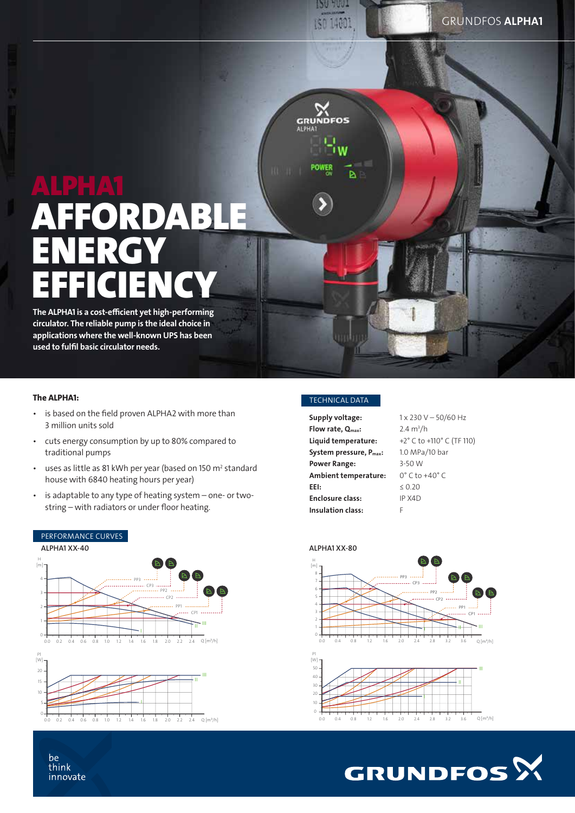# ALPHA1 RDABLE **ENERGY** EFFICIENCY

The ALPHA1 is a cost-efficient yet high-performing circulator. The reliable pump is the ideal choice in applications where the well-known UPS has been used to fulfil basic circulator needs.

### The ALPHA1:

- is based on the field proven ALPHA2 with more than 3 million units sold
- cuts energy consumption by up to 80% compared to traditional pumps
- uses as little as 81 kWh per year (based on 150  $m<sup>2</sup>$  standard house with 6840 heating hours per year)
- is adaptable to any type of heating system one- or twostring – with radiators or under floor heating.



## TECHNICAL DATA

**120 AND** 150 14001

 $\sum_{\text{GRUNDFOS}}$ 

POWER

Þ

| Supply voltage:                     | $1 \times 230$ V - 50/60 Hz       |
|-------------------------------------|-----------------------------------|
| Flow rate, $Q_{\text{max}}$ :       | $2.4 \text{ m}^3/h$               |
| Liquid temperature:                 | +2° C to +110° C (TF 110)         |
| System pressure, P <sub>max</sub> : | 1.0 MPa/10 bar                    |
| <b>Power Range:</b>                 | 3-50 W                            |
| Ambient temperature:                | $0^{\circ}$ C to +40 $^{\circ}$ C |
| EEI:                                | $\leq 0.20$                       |
| <b>Enclosure class:</b>             | IP X4D                            |
| <b>Insulation class:</b>            | F                                 |
|                                     |                                   |









#### be think innovate